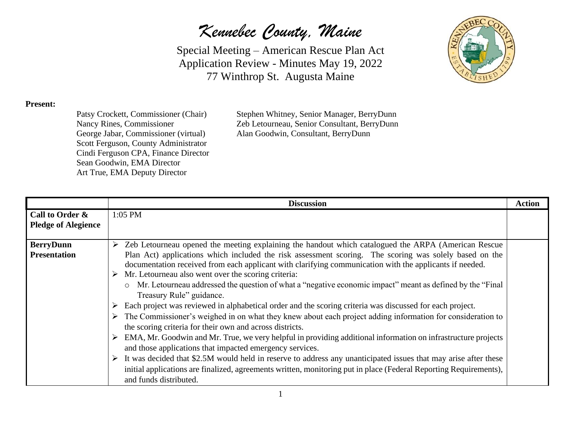*Kennebec County, Maine*

Special Meeting – American Rescue Plan Act Application Review - Minutes May 19, 2022 77 Winthrop St. Augusta Maine



## **Present:**

Scott Ferguson, County Administrator Cindi Ferguson CPA, Finance Director Sean Goodwin, EMA Director Art True, EMA Deputy Director

Patsy Crockett, Commissioner (Chair) Stephen Whitney, Senior Manager, BerryDunn Nancy Rines, Commissioner Zeb Letourneau, Senior Consultant, BerryDunn George Jabar, Commissioner (virtual) Alan Goodwin, Consultant, BerryDunn

|                                               | <b>Discussion</b>                                                                                                                                                                                                                                                                                                                                                                                                                                                                                                                                                                                                                                                                                                                                                                                                                                                                                                                                                                                                                                                                                                                                                                                                                                                         | <b>Action</b> |
|-----------------------------------------------|---------------------------------------------------------------------------------------------------------------------------------------------------------------------------------------------------------------------------------------------------------------------------------------------------------------------------------------------------------------------------------------------------------------------------------------------------------------------------------------------------------------------------------------------------------------------------------------------------------------------------------------------------------------------------------------------------------------------------------------------------------------------------------------------------------------------------------------------------------------------------------------------------------------------------------------------------------------------------------------------------------------------------------------------------------------------------------------------------------------------------------------------------------------------------------------------------------------------------------------------------------------------------|---------------|
| Call to Order &<br><b>Pledge of Alegience</b> | $1:05$ PM                                                                                                                                                                                                                                                                                                                                                                                                                                                                                                                                                                                                                                                                                                                                                                                                                                                                                                                                                                                                                                                                                                                                                                                                                                                                 |               |
| <b>BerryDunn</b><br><b>Presentation</b>       | Zeb Letourneau opened the meeting explaining the handout which catalogued the ARPA (American Rescue<br>Plan Act) applications which included the risk assessment scoring. The scoring was solely based on the<br>documentation received from each applicant with clarifying communication with the applicants if needed.<br>Mr. Letourneau also went over the scoring criteria:<br>Mr. Letourneau addressed the question of what a "negative economic impact" meant as defined by the "Final"<br>$\circ$<br>Treasury Rule" guidance.<br>Each project was reviewed in alphabetical order and the scoring criteria was discussed for each project.<br>The Commissioner's weighed in on what they knew about each project adding information for consideration to<br>the scoring criteria for their own and across districts.<br>EMA, Mr. Goodwin and Mr. True, we very helpful in providing additional information on infrastructure projects<br>and those applications that impacted emergency services.<br>It was decided that \$2.5M would held in reserve to address any unanticipated issues that may arise after these<br>initial applications are finalized, agreements written, monitoring put in place (Federal Reporting Requirements),<br>and funds distributed. |               |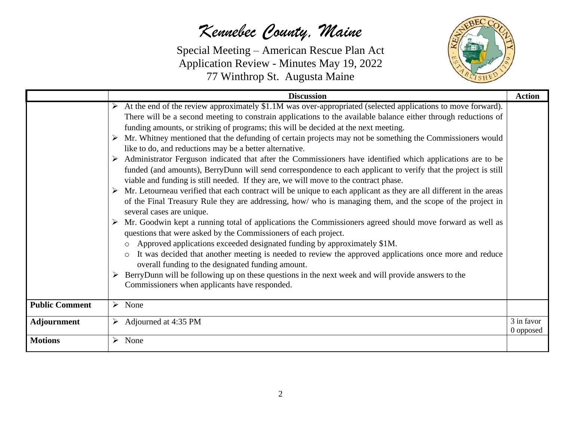## *Kennebec County, Maine*

Special Meeting – American Rescue Plan Act Application Review - Minutes May 19, 2022 77 Winthrop St. Augusta Maine



|                       | <b>Discussion</b>                                                                                                                                                                                                                                                                                                                                                                                                                                                                                                                                                                                                                                                                                                                                                                                                                                                                                                                                                                                                                                                                                                                                                                                                                                                                                                                                                                                                                                                                                                                                                                                                                                                                            | <b>Action</b>           |  |  |  |
|-----------------------|----------------------------------------------------------------------------------------------------------------------------------------------------------------------------------------------------------------------------------------------------------------------------------------------------------------------------------------------------------------------------------------------------------------------------------------------------------------------------------------------------------------------------------------------------------------------------------------------------------------------------------------------------------------------------------------------------------------------------------------------------------------------------------------------------------------------------------------------------------------------------------------------------------------------------------------------------------------------------------------------------------------------------------------------------------------------------------------------------------------------------------------------------------------------------------------------------------------------------------------------------------------------------------------------------------------------------------------------------------------------------------------------------------------------------------------------------------------------------------------------------------------------------------------------------------------------------------------------------------------------------------------------------------------------------------------------|-------------------------|--|--|--|
|                       | At the end of the review approximately \$1.1M was over-appropriated (selected applications to move forward).<br>There will be a second meeting to constrain applications to the available balance either through reductions of<br>funding amounts, or striking of programs; this will be decided at the next meeting.<br>Mr. Whitney mentioned that the defunding of certain projects may not be something the Commissioners would<br>like to do, and reductions may be a better alternative.<br>Administrator Ferguson indicated that after the Commissioners have identified which applications are to be<br>funded (and amounts), BerryDunn will send correspondence to each applicant to verify that the project is still<br>viable and funding is still needed. If they are, we will move to the contract phase.<br>Mr. Letourneau verified that each contract will be unique to each applicant as they are all different in the areas<br>➤<br>of the Final Treasury Rule they are addressing, how/ who is managing them, and the scope of the project in<br>several cases are unique.<br>Mr. Goodwin kept a running total of applications the Commissioners agreed should move forward as well as<br>➤<br>questions that were asked by the Commissioners of each project.<br>Approved applications exceeded designated funding by approximately \$1M.<br>It was decided that another meeting is needed to review the approved applications once more and reduce<br>$\circ$<br>overall funding to the designated funding amount.<br>BerryDunn will be following up on these questions in the next week and will provide answers to the<br>Commissioners when applicants have responded. |                         |  |  |  |
| <b>Public Comment</b> | $\triangleright$ None                                                                                                                                                                                                                                                                                                                                                                                                                                                                                                                                                                                                                                                                                                                                                                                                                                                                                                                                                                                                                                                                                                                                                                                                                                                                                                                                                                                                                                                                                                                                                                                                                                                                        |                         |  |  |  |
| Adjournment           | $\triangleright$ Adjourned at 4:35 PM                                                                                                                                                                                                                                                                                                                                                                                                                                                                                                                                                                                                                                                                                                                                                                                                                                                                                                                                                                                                                                                                                                                                                                                                                                                                                                                                                                                                                                                                                                                                                                                                                                                        | 3 in favor<br>0 opposed |  |  |  |
| <b>Motions</b>        | $\triangleright$ None                                                                                                                                                                                                                                                                                                                                                                                                                                                                                                                                                                                                                                                                                                                                                                                                                                                                                                                                                                                                                                                                                                                                                                                                                                                                                                                                                                                                                                                                                                                                                                                                                                                                        |                         |  |  |  |